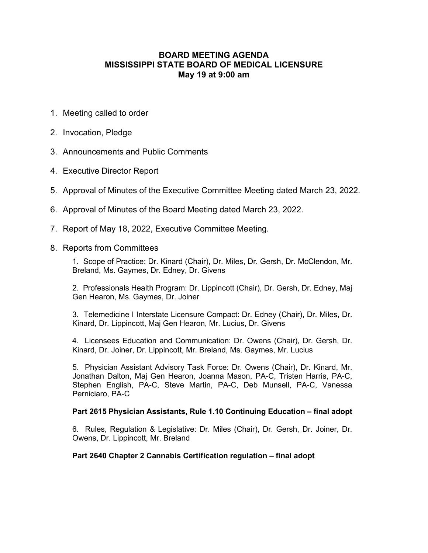## **BOARD MEETING AGENDA MISSISSIPPI STATE BOARD OF MEDICAL LICENSURE May 19 at 9:00 am**

- 1. Meeting called to order
- 2. Invocation, Pledge
- 3. Announcements and Public Comments
- 4. Executive Director Report
- 5. Approval of Minutes of the Executive Committee Meeting dated March 23, 2022.
- 6. Approval of Minutes of the Board Meeting dated March 23, 2022.
- 7. Report of May 18, 2022, Executive Committee Meeting.
- 8. Reports from Committees

1. Scope of Practice: Dr. Kinard (Chair), Dr. Miles, Dr. Gersh, Dr. McClendon, Mr. Breland, Ms. Gaymes, Dr. Edney, Dr. Givens

2. Professionals Health Program: Dr. Lippincott (Chair), Dr. Gersh, Dr. Edney, Maj Gen Hearon, Ms. Gaymes, Dr. Joiner

3. Telemedicine I Interstate Licensure Compact: Dr. Edney (Chair), Dr. Miles, Dr. Kinard, Dr. Lippincott, Maj Gen Hearon, Mr. Lucius, Dr. Givens

4. Licensees Education and Communication: Dr. Owens (Chair), Dr. Gersh, Dr. Kinard, Dr. Joiner, Dr. Lippincott, Mr. Breland, Ms. Gaymes, Mr. Lucius

5. Physician Assistant Advisory Task Force: Dr. Owens (Chair), Dr. Kinard, Mr. Jonathan Dalton, Maj Gen Hearon, Joanna Mason, PA-C, Tristen Harris, PA-C, Stephen English, PA-C, Steve Martin, PA-C, Deb Munsell, PA-C, Vanessa Perniciaro, PA-C

## **Part 2615 Physician Assistants, Rule 1.10 Continuing Education – final adopt**

6. Rules, Regulation & Legislative: Dr. Miles (Chair), Dr. Gersh, Dr. Joiner, Dr. Owens, Dr. Lippincott, Mr. Breland

## **Part 2640 Chapter 2 Cannabis Certification regulation – final adopt**